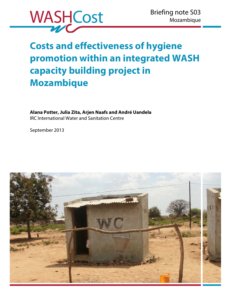

# **Costs and effectiveness of hygiene promotion within an integrated WASH capacity building project in Mozambique**

**Alana Potter, Julia Zita, Arjen Naafs and André Uandela**  IRC International Water and Sanitation Centre

September 2013

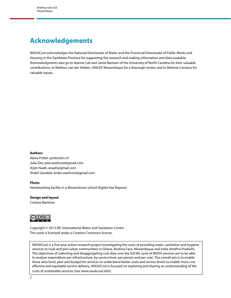## <span id="page-1-0"></span>**Acknowledgements**

WASHCost acknowledges the National Directorate of Water and the Provincial Directorate of Public Works and Housing in the Zambézia Province for supporting the research and making information and data available. Acknowledgments also go to Jeanne Luh and Jamie Bartram of the University of North Carolina for their valuable contributions, to Matteus van der Velden, UNICEF Mozambique for a thorough review and to Melanie Carrasco for valuable inputs.

#### **Authors**

Alana Potter: potter@irc.nl Julia Zita: julia.washcost@gmail.com Arjen Naafs: anaafs@gmail.com André Uandela: andre.washcost@gmail.com

#### **Photo**

Handwashing facility in a Mozambican school (Egidio Vaz Raposo)

### **Design and layout**

Cristina Martínez



Copyright © 2013 IRC International Water and Sanitation Centre This work is licensed under a Creative Commons license.

WASHCost is a five-year action research project investigating the costs of providing water, sanitation and hygiene services to rural and peri-urban communities in Ghana, Burkina Faso, Mozambique and India (Andhra Pradesh). The objectives of collecting and disaggregating cost data over the full life cycle of WASH services are to be able to analyse expenditure per infrastructure, by service level, per person and per user. The overall aim is to enable those who fund, plan and budget for services to understand better costs and service levels to enable more cost effective and equitable service delivery. WASHCost is focused on exploring and sharing an understanding of the costs of sustainable services (see www.washcost.info).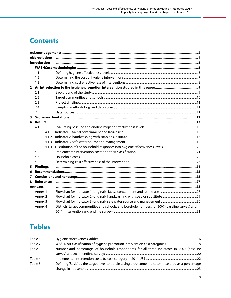## **Contents**

| <b>Abbreviations</b> |                    |                                                                                                |  |  |  |
|----------------------|--------------------|------------------------------------------------------------------------------------------------|--|--|--|
| <b>Introduction</b>  |                    |                                                                                                |  |  |  |
|                      |                    |                                                                                                |  |  |  |
|                      | 1.1                |                                                                                                |  |  |  |
|                      | 1.2                |                                                                                                |  |  |  |
|                      | 1.3                |                                                                                                |  |  |  |
|                      |                    |                                                                                                |  |  |  |
|                      | 2.1                |                                                                                                |  |  |  |
|                      | 2.2                |                                                                                                |  |  |  |
|                      | 2.3                |                                                                                                |  |  |  |
|                      | 2.4                |                                                                                                |  |  |  |
|                      | 2.5                |                                                                                                |  |  |  |
| 3                    |                    |                                                                                                |  |  |  |
|                      | 4 Results          |                                                                                                |  |  |  |
|                      | 4.1                |                                                                                                |  |  |  |
|                      | 4.1.1              |                                                                                                |  |  |  |
|                      | 4.1.2              |                                                                                                |  |  |  |
|                      | 4.1.3              |                                                                                                |  |  |  |
|                      | 4.1.4              |                                                                                                |  |  |  |
|                      | 4.2                |                                                                                                |  |  |  |
|                      | 4.3                |                                                                                                |  |  |  |
|                      | 4.4                |                                                                                                |  |  |  |
| 5                    | <b>Findings</b>    |                                                                                                |  |  |  |
| 6                    |                    |                                                                                                |  |  |  |
| 7                    |                    |                                                                                                |  |  |  |
| 8                    | <b>References</b>  |                                                                                                |  |  |  |
|                      | <b>Annexes</b>     |                                                                                                |  |  |  |
|                      | Annex 1            |                                                                                                |  |  |  |
|                      | Annex 2            |                                                                                                |  |  |  |
|                      | Annex <sub>3</sub> |                                                                                                |  |  |  |
|                      | Annex 4            | Districts, target communities and schools, and borehole numbers for 2007 (baseline survey) and |  |  |  |
|                      |                    |                                                                                                |  |  |  |

## **Tables**

| Table 1 |                                                                                                    |  |
|---------|----------------------------------------------------------------------------------------------------|--|
| Table 2 |                                                                                                    |  |
| Table 3 | Number and percentage of household respondents for all three indicators in 2007 (baseline          |  |
|         |                                                                                                    |  |
| Table 4 |                                                                                                    |  |
| Table 5 | Defining 'Basic' as the target level to obtain a single outcome indicator measured as a percentage |  |
|         |                                                                                                    |  |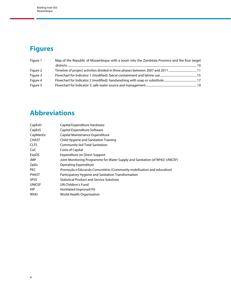## <span id="page-3-0"></span>**Figures**

| Figure 1 | Map of the Republic of Mozambique with a zoom into the Zambézia Province and the four target |
|----------|----------------------------------------------------------------------------------------------|
|          |                                                                                              |
| Figure 2 |                                                                                              |
| Figure 3 |                                                                                              |
| Figure 4 |                                                                                              |
| Figure 5 |                                                                                              |

## **Abbreviations**

| CapExH        | Capital Expenditure Hardware                                                |
|---------------|-----------------------------------------------------------------------------|
| CapExS        | Capital Expenditure Software                                                |
| CapManEx      | Capital Maintenance Expenditure                                             |
| <b>CHAST</b>  | Child Hygiene and Sanitation Training                                       |
| <b>CLTS</b>   | Community-led Total Sanitation                                              |
| CoC           | Costs of Capital                                                            |
| ExpDS         | Expenditure on Direct Support                                               |
| <b>JMP</b>    | Joint Monitoring Programme for Water Supply and Sanitation (of WHO/ UNICEF) |
| OpEx          | Operating Expenditure                                                       |
| <b>PEC</b>    | Promoção e Educação Comunitário (Community mobilisation and education)      |
| <b>PHAST</b>  | Participatory Hygiene and Sanitation Transformation                         |
| <b>SPSS</b>   | <b>Statistical Product and Service Solutions</b>                            |
| <b>UNICEF</b> | UN Children's Fund                                                          |
| <b>VIP</b>    | Ventilated Improved Pit                                                     |
| <b>WHO</b>    | World Health Organization                                                   |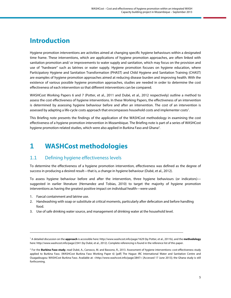## <span id="page-4-0"></span>**Introduction**

Hygiene promotion interventions are activities aimed at changing specific hygiene behaviours within a designated time frame. These interventions, which are applications of hygiene promotion approaches, are often linked with sanitation promotion and/ or improvements to water supply and sanitation, which may focus on the provision and use of "hardware" such as latrines or water supply. Hygiene promotion focuses on hygiene education, where Participatory Hygiene and Sanitation Transformation (PHAST) and Child Hygiene and Sanitation Training (CHAST) are examples of hygiene promotion approaches aimed at reducing disease burden and improving health. With the existence of various possible hygiene promotion approaches, studies are needed in order to determine the cost effectiveness of each intervention so that different interventions can be compared.

WASHCost Working Papers 6 and 7 (Potter, et al., 2011 and Dubé, et al., 2012 respectively) outline a method to assess the cost effectiveness of hygiene interventions. In these Working Papers, the effectiveness of an intervention is determined by assessing hygiene behaviour before and after an intervention. The cost of an intervention is assessed by adapting a life-cycle costs approach that encompasses household costs and implementer costs<sup>1</sup>.

This Briefing note presents the findings of the application of the WASHCost methodology in examining the cost effectiveness of a hygiene promotion intervention in Mozambique. The Briefing note is part of a series of WASHCost hygiene promotion-related studies, which were also applied in Burkina Faso and Ghana<sup>2</sup>.

## **1 WASHCost methodologies**

## 1.1 Defining hygiene effectiveness levels

To determine the effectiveness of a hygiene promotion intervention, effectiveness was defined as the degree of success in producing a desired result—that is, a change in hygiene behaviour (Dubé, et al., 2012).

To assess hygiene behaviour before and after the intervention, three hygiene behaviours (or indicators) suggested in earlier literature (Hernandez and Tobias, 2010) to target the majority of hygiene promotion interventions as having the greatest positive impact on individual health—were used:

1. Faecal containment and latrine use.

- 2. Handwashing with soap or substitute at critical moments, particularly after defecation and before handling food.
- 3. Use of safe drinking water source, and management of drinking water at the household level.

<sup>1</sup> A detailed discussion on the **approach** is accessible here: http://www.washcost.info/page/1629 (by Potter, et al., 2011b), and the **methodology**  here: http://www.washcost.info/page/2341 (by Dubé, et al., 2012). Complete referencing is found in the reference list of this paper.

<sup>2</sup> For the **Burkina Faso study**, read Dubé, A., Carrasco, M. and Bassono, R., 2013. Assessment of hygiene interventions: cost-effectiveness study applied to Burkina Faso. (WASHCost Burkina Faso Working Paper 6) [pdf] The Hague: IRC International Water and Sanitation Centre and Ouagadougou: WASHCost Burkina Faso. Available at: <http://www.washcost.info/page/2847> [Accessed 17 June 2013]; the Ghana study is still forthcoming.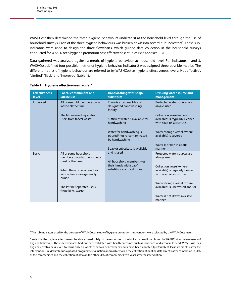<span id="page-5-0"></span>WASHCost then determined the three hygiene behaviours (indicators) at the household level through the use of household surveys. Each of the three hygiene behaviours was broken down into several sub-indicators<sup>3</sup>. These subindicators were used to design the three flowcharts, which guided data collection in the household surveys conducted for WASHCost's hygiene promotion cost-effectiveness studies (see annexes 1-3).

Data gathered was analysed against a metric of hygiene behaviour at household level. For Indicators 1 and 3, WASHCost defined four possible metrics of hygiene behavior; Indicator 2 was assigned three possible metrics. The different metrics of hygiene behaviour are referred to by WASHCost as hygiene effectiveness levels: 'Not effective', 'Limited', 'Basic' and 'Improved' (table 1).

| <b>Effectiveness</b><br><b>level</b> | <b>Faecal containment and</b><br>latrine use                               | Handwashing with soap/<br>substitute                                                                                 | <b>Drinking water source and</b><br>management                                         |
|--------------------------------------|----------------------------------------------------------------------------|----------------------------------------------------------------------------------------------------------------------|----------------------------------------------------------------------------------------|
| Improved                             | All household members use a<br>latrine all the time                        | There is an accessible and<br>designated handwashing<br>facility<br>Sufficient water is available for<br>handwashing | Protected water sources are<br>always used                                             |
|                                      | The latrine used separates<br>users from faecal waste                      |                                                                                                                      | Collection vessel (where<br>available) is regularly cleaned<br>with soap or substitute |
|                                      |                                                                            | Water for handwashing is<br>poured/ not re-contaminated<br>by handwashing                                            | Water storage vessel (where<br>available) is covered                                   |
|                                      |                                                                            | Soap or substitute is available                                                                                      | Water is drawn in a safe<br>manner                                                     |
| <b>Basic</b>                         | All or some household<br>members use a latrine some or<br>most of the time | and is used<br>All household members wash<br>their hands with soap/<br>substitute at critical times                  | Protected water sources are<br>always used                                             |
|                                      | When there is no access to a<br>latrine, faeces are generally<br>buried    |                                                                                                                      | Collection vessel (where<br>available) is regularly cleaned<br>with soap or substitute |
|                                      | The latrine separates users<br>from faecal waste                           |                                                                                                                      | Water storage vessel (where<br>available) is uncovered and/or                          |
|                                      |                                                                            |                                                                                                                      | Water is not drawn in a safe<br>manner                                                 |

#### **Table 1 Hygiene effectiveness ladder4**

<sup>3</sup> The sub-indicators used for the purpose of WASHCost's study of hygiene promotion interventions were selected by the WASHCost team.

<sup>&</sup>lt;sup>4</sup> Note that the hygiene effectiveness levels are based solely on the responses to the indicator questions chosen by WASHCost as determinants of hygiene behaviour. These determinants had not been validated with health outcomes such as incidence of diarrhoea. Instead, WASHCost uses hygiene effectiveness levels to focus only on whether certain desired behaviours have been adopted (preferably at least six months after the intervention). In Mozambique, a phased programme evaluation approach entailed the collection of midline data directly after completion in 50% of the communities and the collection of data on the other 50% of communities two years after the intervention.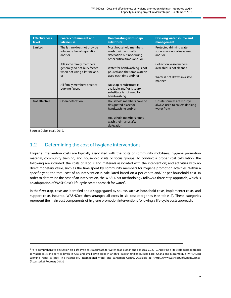<span id="page-6-0"></span>

| <b>Effectiveness</b><br>level | <b>Faecal containment and</b><br>latrine use                                                                                                     | Handwashing with soap/<br>substitute                                                                                                                                          | <b>Drinking water source and</b><br>management                                                  |
|-------------------------------|--------------------------------------------------------------------------------------------------------------------------------------------------|-------------------------------------------------------------------------------------------------------------------------------------------------------------------------------|-------------------------------------------------------------------------------------------------|
| Limited                       | The latrine does not provide<br>adequate faecal separation<br>and/or                                                                             | Most household members<br>wash their hands after<br>defecation but not during<br>other critical times and/or                                                                  | Protected drinking water<br>sources are not always used<br>and/or                               |
|                               | All/ some family members<br>generally do not bury faeces<br>when not using a latrine and/<br>or<br>All family members practice<br>burying faeces | Water for handwashing is not<br>poured and the same water is<br>used each time and/or<br>No soap or substitute is<br>available and/ or is soap/<br>substitute is not used for | Collection vessel (where<br>available) is not cleaned<br>Water is not drawn in a safe<br>manner |
|                               |                                                                                                                                                  | handwashing                                                                                                                                                                   |                                                                                                 |
| Not effective                 | Open defecation                                                                                                                                  | Household members have no<br>designated place for<br>handwashing and/ or                                                                                                      | Unsafe sources are mostly/<br>always used to collect drinking<br>water from                     |
|                               |                                                                                                                                                  | Household members rarely<br>wash their hands after<br>defecation                                                                                                              |                                                                                                 |

Source: Dubé, et al., 2012.

**.** 

### 1.2 Determining the cost of hygiene interventions

Hygiene intervention costs are typically associated with the costs of community mobilisers, hygiene promotion material, community training, and household visits or focus groups. To conduct a proper cost calculation, the following are included: the costs of labour and materials associated with the intervention; and activities with no direct monetary value, such as the time spent by community members for hygiene promotion activities. Within a specific year, the total cost of an intervention is calculated based on a per capita and/ or per household cost. In order to determine the cost of an intervention, the WASHCost methodology follows a three-step approach, which is an adaptation of WASHCost's life-cycle costs approach for water<sup>5</sup>.

In the **first step**, costs are identified and disaggregated by source, such as household costs, implementer costs, and support costs incurred. WASHCost then arranges all costs in six cost categories (see table 2). These categories represent the main cost components of hygiene promotion interventions following a life-cycle costs approach.

<sup>&</sup>lt;sup>5</sup> For a comprehensive discussion on a life-cycle costs approach for water, read Burr, P. and Fonseca, C., 2012. Applying a life-cycle costs approach to water: costs and service levels in rural and small town areas in Andhra Pradesh (India), Burkina Faso, Ghana and Mozambique. (WASHCost Working Paper 8) [pdf] The Hague: IRC International Water and Sanitation Centre. Available at: <http://www.washcost.info/page/2665> [Accessed 21 February 2013].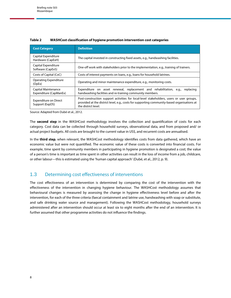| <b>Cost Category</b>                          | <b>Definition</b>                                                                                                                                                                                              |  |  |
|-----------------------------------------------|----------------------------------------------------------------------------------------------------------------------------------------------------------------------------------------------------------------|--|--|
| Capital Expenditure<br>Hardware (CapExH)      | The capital invested in constructing fixed assets, e.g., handwashing facilities.                                                                                                                               |  |  |
| Capital Expenditure<br>Software (CapExS)      | One-off work with stakeholders prior to the implementation, e.g., training of trainers.                                                                                                                        |  |  |
| Costs of Capital (CoC)                        | Costs of interest payments on loans, e.g., loans for household latrines.                                                                                                                                       |  |  |
| Operating Expenditure<br>(OpEx)               | Operating and minor maintenance expenditure, e.g., monitoring costs.                                                                                                                                           |  |  |
| Capital Maintenance<br>Expenditure (CapManEx) | Expenditure on asset renewal, replacement and rehabilitation, e.g.,<br>replacing<br>handwashing facilities and re-training community members.                                                                  |  |  |
| Expenditure on Direct<br>Support (ExpDS)      | Post-construction support activities for local-level stakeholders, users or user groups,<br>provided at the district level, e.g., costs for supporting community-based organisations at<br>the district level. |  |  |

#### <span id="page-7-0"></span>**Table 2 WASHCost classification of hygiene promotion intervention cost categories**

Source: Adapted from Dubé et al., 2012.

The **second step** in the WASHCost methodology involves the collection and quantification of costs for each category. Cost data can be collected through household surveys, observational data, and from proposed and/ or actual project budgets. All costs are brought to the current value in US\$, and recurrent costs are annualised.

In the **third step**, when relevant, the WASHCost methodology identifies costs from data gathered, which have an economic value but were not quantified. The economic value of these costs is converted into financial costs. For example, time spent by community members in participating in hygiene promotion is designated a cost; the value of a person's time is important as time spent in other activities can result in the loss of income from a job, childcare, or other labour—this is estimated using the 'human capital approach' (Dubé, et al., 2012, p. 9).

### 1.3 Determining cost effectiveness of interventions

The cost effectiveness of an intervention is determined by comparing the cost of the intervention with the effectiveness of the intervention in changing hygiene behaviour. The WASHCost methodology assumes that behavioural changes is measured by assessing the change in hygiene effectiveness level before and after the intervention, for each of the three criteria (faecal containment and latrine use, handwashing with soap or substitute, and safe drinking water source and management). Following the WASHCost methodology, household surveys administered after an intervention should occur at least six to eight months after the end of an intervention. It is further assumed that other programme activities do not influence the findings.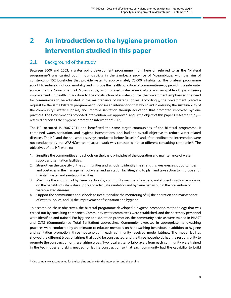## <span id="page-8-0"></span>**2 An introduction to the hygiene promotion intervention studied in this paper**

### 2.1 Background of the study

Between 2000 and 2003, a water point development programme (from here on referred to as the "bilateral programme") was carried out in four districts in the Zambézia province of Mozambique, with the aim of constructing 152 boreholes that provide water to approximately 75,000 inhabitants. The bilateral programme sought to reduce childhood mortality and improve the health condition of communities—by providing a safe water source. To the Government of Mozambique, an improved water source alone was incapable of guaranteeing improvements in health: in addition to the construction of a water source, the Government emphasised the need for communities to be educated in the maintenance of water supplies. Accordingly, the Government placed a request for the same bilateral programme to sponsor an intervention that would aid in ensuring the sustainability of the community's water supplies, and improve sanitation through education that promoted improved hygiene practices. The Government's proposed intervention was approved, and is the object of this paper's research study referred hereon as the "hygiene promotion intervention" (HPI).

The HPI occurred in 2007-2011 and benefitted the same target communities of the bilateral programme. It combined water, sanitation, and hygiene interventions, and had the overall objective to reduce water-related diseases. The HPI and the household surveys conducted before (baseline) and after (endline) the intervention were not conducted by the WASHCost team; actual work was contracted out to different consulting companies<sup>6</sup>. The objectives of the HPI were to:

- 1. Sensitise the communities and schools on the basic principles of the operation and maintenance of water supply and sanitation facilities.
- 2. Strengthen the capacity of the communities and schools to identify the strengths, weaknesses, opportunities and obstacles in the management of water and sanitation facilities, and to plan and take action to improve and maintain water and sanitation facilities.
- 3. Maximise the adoption of hygiene practices by community members, teachers, and students, with an emphasis on the benefits of safe water supply and adequate sanitation and hygiene behaviour in the prevention of water-related diseases.
- 4. Support the communities and schools to institutionalise the monitoring of: (i) the operation and maintenance of water supplies; and (ii) the improvement of sanitation and hygiene.

To accomplish these objectives, the bilateral programme developed a hygiene promotion methodology that was carried out by consulting companies. Community water committees were established, and the necessary personnel were identified and trained. For hygiene and sanitation promotion, the community activists were trained in PHAST and CLTS (Community-led Total Sanitation) approaches. Community exercises in appropriate handwashing practices were conducted by an animator to educate members on handwashing behaviour. In addition to hygiene and sanitation promotion, three households in each community received model latrines. The model latrines showed the different types of latrines that could be constructed, and the three households had the responsibility to promote the construction of these latrine types. Two local artisans/ bricklayers from each community were trained in the techniques and skills needed for latrine construction so that each community had the capability to build

<sup>&</sup>lt;sup>6</sup> One company was contracted for the baseline and one for the intervention and the endline.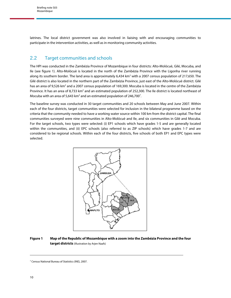<span id="page-9-0"></span>latrines. The local district government was also involved in liaising with and encouraging communities to participate in the intervention activities, as well as in monitoring community activities.

### 2.2 Target communities and schools

The HPI was conducted in the Zambézia Province of Mozambique in four districts: Alto-Molócuè, Gilé, Mocuba, and Ile (see figure 1). Alto-Molócuè is located in the north of the Zambézia Province with the Ligonha river running along its southern border. The land area is approximately 6,434 km<sup>2</sup> with a 2007 census population of 217,650. The Gilé district is also located in the northern part of the Zambézia Province, just east of the Alto-Molócuè district. Gilé has an area of 9,526 km<sup>2</sup> and a 2007 census population of 169,300. Mocuba is located in the centre of the Zambézia Province. It has an area of 8,733 km<sup>2</sup> and an estimated population of 252,300. The Ile district is located northeast of Mocuba with an area of 5,643 km<sup>2</sup> and an estimated population of 246,700<sup>7</sup>.

The baseline survey was conducted in 30 target communities and 20 schools between May and June 2007. Within each of the four districts, target communities were selected for inclusion in the bilateral programme based on the criteria that the community needed to have a working water source within 100 km from the district capital. The final communities surveyed were nine communities in Alto-Molócuè and Ile, and six communities in Gilé and Mocuba. For the target schools, two types were selected: (i) EP1 schools which have grades 1-5 and are generally located within the communities, and (ii) EPC schools (also referred to as ZIP schools) which have grades 1-7 and are considered to be regional schools. Within each of the four districts, five schools of both EP1 and EPC types were selected.



#### **Figure 1 Map of the Republic of Mozambique with a zoom into the Zambézia Province and the four target districts** (Illustration by Arjen Naafs)

<sup>7</sup> Census National Bureau of Statistics (INE), 2007.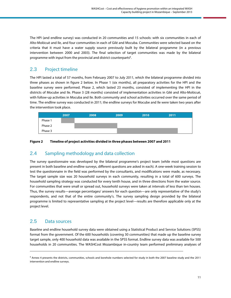<span id="page-10-0"></span>The HPI (and endline survey) was conducted in 20 communities and 15 schools: with six communities in each of Alto-Molócuè and Ile, and four communities in each of Gilé and Mocuba. Communities were selected based on the criteria that it must have a water supply source previously built by the bilateral programme (in a previous intervention between 2000 and 2003). The final selection of target communities was made by the bilateral programme with input from the provincial and district counterparts<sup>8</sup>.

### 2.3 Project timeline

The HPI lasted a total of 57 months, from February 2007 to July 2011, which the bilateral programme divided into three phases as shown in figure 2 below. In Phase 1 (six months), all preparatory activities for the HPI and the baseline survey were performed. Phase 2, which lasted 23 months, consisted of implementing the HPI in the districts of Mocube and Ile. Phase 3 (28 months) consisted of implementation activities in Gilé and Alto-Molócuè, with follow-up activities in Mocuba and Ile. Both community and school activities occurred over the same period of time. The endline survey was conducted in 2011; the endline surveys for Mocube and Ile were taken two years after the intervention took place.



#### **Figure 2 Timeline of project activities divided in three phases between 2007 and 2011**

### 2.4 Sampling methodology and data collection

The survey questionnaire was developed by the bilateral programme's project team (while most questions are present in both baseline and endline surveys, different questions are asked in each). A one-week training session to test the questionnaire in the field was performed by the consultants, and modifications were made, as necessary. The target sample size was 20 household surveys in each community, resulting in a total of 600 surveys. The household sampling strategy was conducted for every tenth house, and in three directions from the water source. For communities that were small or spread out, household surveys were taken at intervals of less than ten houses. Thus, the survey results—average percentages/ answers for each question—are only representative of the study's respondents, and not that of the entire community's. The survey sampling design provided by the bilateral programme is limited to representative sampling at the project level—results are therefore applicable only at the project level.

### 2.5 Data sources

1

Baseline and endline household survey data were obtained using a Statistical Product and Service Solutions (SPSS) format from the government. Of the 600 households (covering 30 communities) that made up the baseline survey target sample, only 400 household data was available in the SPSS format. Endline survey data was available for 500 households in 20 communities. The WASHCost Mozambique in-country team performed preliminary analyses of

<sup>&</sup>lt;sup>8</sup> Annex 4 presents the districts, communities, schools and borehole numbers selected for study in both the 2007 baseline study and the 2011 intervention and endline surveys.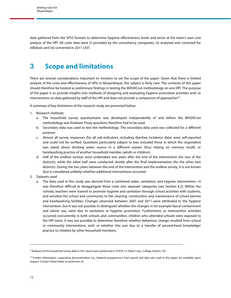<span id="page-11-0"></span>data gathered from the SPSS formats to determine hygiene effectiveness levels and arrive at the team's own cost analysis of the HPI. All costs data were (i) provided by the consultancy companies; (ii) analysed and corrected for inflation; and (iii) converted in 2011 US\$<sup>9</sup>.

## **3 Scope and limitations**

There are several considerations important to mention to set the scope of the paper. Given that there is limited analysis of the costs and effectiveness of HPIs in Mozambique, the subject is fairly new. The contents of this paper should therefore be treated as preliminary findings in testing the WASHCost methodology on one HPI. The purpose of the paper is to provide insights into methods of designing and evaluating hygiene promotion activities and/ or interventions on data gathered by staff of the HPI and does not provide a comparison of approaches<sup>10</sup>.

A summary of key limitations of the research study are presented below.

- 1. Research methods
	- a. The household survey questionnaire was developed independently of and before the WASHCost methodology was finalised. Proxy questions therefore had to be used.
	- b. Secondary data was used to test the methodology. The secondary data used was collected for a different purpose.
	- c. Almost all survey responses (for all sub-indicators, including diarrhea incidence data) were self-reported and could not be verified. Questions particularly subject to bias included those in which the respondent was asked about drinking water source in a different season (thus relying on memory recall), or handwashing practice of another household member (adults or children).
	- d. Half of the endline surveys were undertaken two years after the end of the intervention (for two of the districts), while the other half were conducted shortly after the final implementation (for the other two districts). During the two years between the end of the intervention and the endline survey, it is not known (but is considered unlikely) whether additional interventions occurred.
- 2. Datasets used
	- a. The data used in this study was derived from a combined water, sanitation, and hygiene intervention—it was therefore difficult to disaggregate these costs into separate categories (see Section 4.2). Within the schools, teachers were trained to promote hygiene and sanitation through school activities with students, and sensitise the school and community to the cleaning, construction and maintenance of school latrines and handwashing facilities. Changes observed between 2007 and 2011 were attributed to the hygiene intervention, but it was not possible to distinguish whether the changes in for example faecal containment and latrine use, were due to sanitation or hygiene promotion. Furthermore, as intervention activities occurred concurrently in both schools and communities, children who attended schools were exposed to the HPI twice. It was not possible to determine therefore whether behaviour change resulted from school or community interventions, and/ or whether this was due to a transfer of second-hand knowledge/ practice to children by other household members.

<sup>&</sup>lt;sup>9</sup> Analyses of the household survey data in this report were performed in STATA 12 (Stata Corp., College Station, TX).

<sup>&</sup>lt;sup>10</sup> Further information, supporting documentation (i.e., bilateral programme's final report) and data sets used in this paper are available upon request. Contact Alana Potter at potter@irc.nl.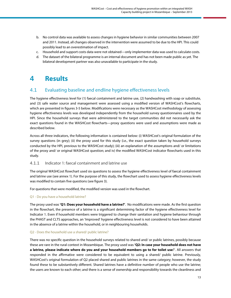- <span id="page-12-0"></span>b. No control data was available to assess changes in hygiene behavior in similar communities between 2007 and 2011. Instead, all changes observed in the intervention were assumed to be due to the HPI. This could possibly lead to an overestimation of impact.
- c. Household and support costs data were not obtained—only implementer data was used to calculate costs.
- d. The dataset of the bilateral programme is an internal document and has not been made public as yet. The bilateral development partner was also unavailable to participate in the study.

## **4 Results**

## 4.1 Evaluating baseline and endline hygiene effectiveness levels

The hygiene effectiveness level for (1) faecal containment and latrine use, (2) handwashing with soap or substitute, and (3) safe water source and management were assessed using a modified version of WASHCost's flowcharts, which are presented in figures 3-5 below. Modifications were necessary as the WASHCost methodology of assessing hygiene effectiveness levels was developed independently from the household survey questionnaires used by the HPI. Since the household surveys that were administered to the target communities did not necessarily ask the exact questions found in the WASHCost flowcharts—proxy questions were used and assumptions were made as described below.

Across all three indicators, the following information is contained below: (i) WASHCost's original formulation of the survey questions (in grey); (ii) the proxy used for this study (i.e., the exact question taken by household surveys conducted by the HPI, previous to the WASHCost study); (iii) an explanation of the assumptions and/ or limitations of the proxy and/ or original WASHCost question; and iv) the modified WASHCost indicator flowcharts used in this study.

#### 4.1.1 Indicator 1: faecal containment and latrine use

The original WASHCost flowchart used six questions to assess the hygiene effectiveness level of faecal containment and latrine use (see annex 1). For the purpose of this study, the flowchart used to assess hygiene effectiveness levels was modified to contain five questions (see figure 3).

For questions that were modified, the modified version was used in the flowchart.

#### Q1 - Do you have a household latrine?

The proxy used was **'Q1: Does your household have a latrine?'**. No modifications were made. As the first question in the flowchart, the presence of a latrine is a significant determining factor of the hygiene effectiveness level for Indicator 1. Even if household members were triggered to change their sanitation and hygiene behaviour through the PHAST and CLTS approaches, an 'Improved' hygiene effectiveness level is not considered to have been attained in the absence of a latrine within the household, or in neighbouring households.

#### Q2 - Does the household use a shared/ public latrine?

There was no specific question in the household surveys related to shared and/ or public latrines, possibly because these are rare in the rural context in Mozambique. The proxy used was **'Q2: In case your household does not have a latrine, please indicate where do you and your household members go to for toilet use**?'. All answers that responded in the affirmative were considered to be equivalent to using a shared/ public latrine. Previously, WASHCost's original formulation of Q2 placed shared and public latrines in the same category; however, the study found these to be substantively different. Shared latrines have a definitive number of people who use the latrine; the users are known to each other; and there is a sense of ownership and responsibility towards the cleanliness and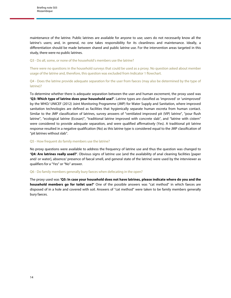maintenance of the latrine. Public latrines are available for anyone to use; users do not necessarily know all the latrine's users; and, in general, no one takes responsibility for its cleanliness and maintenance. Ideally, a differentiation should be made between shared and public latrine use. For the intervention areas targeted in this study, there were no public latrines.

#### Q3 - Do all, some, or none of the household's members use the latrine?

There were no questions in the household surveys that could be used as a proxy. No question asked about member usage of the latrine and, therefore, this question was excluded from Indicator 1 flowchart.

Q4 - Does the latrine provide adequate separation for the user from faeces (may also be determined by the type of latrine)?

To determine whether there is adequate separation between the user and human excrement, the proxy used was **'Q3: Which type of latrine does your household use?'**. Latrine types are classified as 'improved' or 'unimproved' by the WHO/ UNICEF (2012) Joint Monitoring Programme (JMP) for Water Supply and Sanitation, where improved sanitation technologies are defined as facilities that hygienically separate human excreta from human contact. Similar to the JMP classification of latrines, survey answers of "ventilated improved pit (VIP) latrine", "pour flush latrine", "ecological latrine (Ecosan)", "traditional latrine improved with concrete slab", and "latrine with cistern" were considered to provide adequate separation, and were qualified affirmatively (Yes). A traditional pit latrine response resulted in a negative qualification (No) as this latrine type is considered equal to the JMP classification of "pit latrines without slab".

#### Q5 - How frequent do family members use the latrine?

No proxy questions were available to address the frequency of latrine use and thus the question was changed to **'Q4: Are latrines really used?'**. Obvious signs of latrine use (and the availability of anal cleaning facilities [paper and/ or water], absence/ presence of faecal smell, and general state of the latrine) were used by the interviewer as qualifiers for a "Yes" or "No" answer.

#### Q6 - Do family members generally bury faeces when defecating in the open?

The proxy used was **'Q5: In case your household does not have latrines, please indicate where do you and the household members go for toilet use?'** One of the possible answers was "cat method" in which faeces are disposed of in a hole and covered with soil. Answers of "cat method" were taken to be family members generally bury faeces.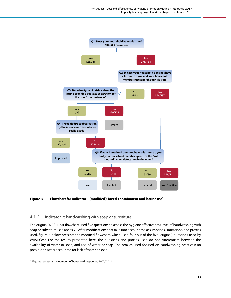<span id="page-14-0"></span>

#### Figure 3 Flowchart for Indicator 1 (modified): faecal containment and latrine use<sup>11</sup>

#### 4.1.2 Indicator 2: handwashing with soap or substitute

The original WASHCost flowchart used five questions to assess the hygiene effectiveness level of handwashing with soap or substitute (see annex 2). After modifications that take into account the assumptions, limitations, and proxies used, figure 4 below presents the modified flowchart, which used four out of the five (original) questions used by WASHCost. For the results presented here, the questions and proxies used do not differentiate between the availability of water or soap, and use of water or soap. The proxies used focused on handwashing practices; no possible answers accounted for lack of water or soap.

<sup>&</sup>lt;sup>11</sup> Figures represent the numbers of household responses, 2007/2011.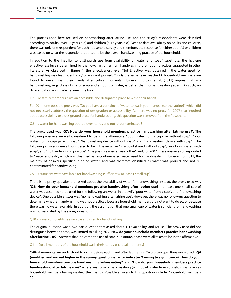The proxies used here focused on handwashing after latrine use, and the study's respondents were classified according to adults (over 18 years old) and children (5-17 years old). Despite data availability on adults and children, there was only one respondent for each household survey and therefore, the response for either adult(s) or children was based on what the respondent reported to be the overall handwashing practice of the household.

In addition to the inability to distinguish use from availability of water and soap/ substitute, the hygiene effectiveness levels determined by the flowchart differ from handwashing promotion practices suggested in other literature. As observed in figure 4, the effectiveness level 'Not Effective' was obtained if the water used for handwashing was insufficient and/ or was not poured. This is the same level reached if household members are found to never wash their hands after critical moments. However, Burton, et al. (2011) argues that any handwashing, regardless of use of soap and amount of water, is better than no handwashing at all. As such, no differentiation was made between the two.

Q7 - Do family members have an accessible and designated place to wash their hands?

For 2011, one possible proxy was "Do you have a container of water to wash your hands near the latrine?" which did not necessarily address the question of designation or accessibility. As there was no proxy for 2007 that inquired about accessibility or a designated place for handwashing, this question was removed from the flowchart.

#### Q8 - Is water for handwashing poured over hands and not re-contaminated?

The proxy used was **'Q7: How do your household members practice handwashing after latrine use?'.** The following answers were all considered to be in the affirmative: "pour water from a cup/ jar without soap", "pour water from a cup/ jar with soap", "handwashing device without soap", and "handwashing device with soap" . The following answers were all considered to be in the negative: "in a bowl shared without soap", "in a bowl shared with soap", and "no handwashing practice". One possible answer was "other" and, for 2007, these answers corresponded to "water and ash", which was classified as re-contaminated water used for handwashing. However, for 2011, the majority of answers specified running water, and was therefore classified as water was poured and not recontaminated for handwashing.

#### Q9 - Is sufficient water available for handwashing (sufficient = at least 1 small cup)?

There is no proxy question that asked about the availability of water for handwashing. Instead, the proxy used was **'Q8: How do your household members practice handwashing after latrine use?'**—at least one small cup of water was assumed to be used for the following answers: "in a bowl", "pour water from a cup", and "handwashing device". One possible answer was "no handwashing after latrine use". However, there was no follow-up question to determine whether handwashing was not practiced because household members did not want to do so, or because there was no water available. In addition, the assumption that one small cup of water is sufficient for handwashing was not validated by the survey questions.

#### Q10 - Is soap or substitute available and used for handwashing?

The original question was a two-part question that asked about: (1) availability; and (2) use. The proxy used did not distinguish between these, was limited to asking: **'Q9: How do your household members practice handwashing after latrine use?**'. Answers that indicated the use of soap, substitute, or ash were all taken to be in the affirmative.

#### Q11 - Do all members of the household wash their hands at critical moments?

16 Critical moments are understood to occur before eating and after latrine use. Two proxy questions were used: **'Q6 (modified and moved higher in the survey questionnaire for indicator 2 owing to significance): How do your household members practice handwashing before eating?'** and **"How do your household members practice handwashing after latrine use?"** where any form of handwashing (with bowl, water from cup, etc.) was taken as household members having washed their hands. Possible answers to this question include: "household members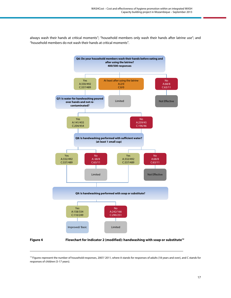<span id="page-16-0"></span>always wash their hands at critical moments"; "household members only wash their hands after latrine use"; and "household members do not wash their hands at critical moments".



1

**Figure 4 Flowchart for Indicator 2 (modified): handwashing with soap or substitute12**

<sup>&</sup>lt;sup>12</sup> Figures represent the number of household responses, 2007/2011, where A stands for responses of adults (18 years and over), and C stands for responses of children (5-17 years).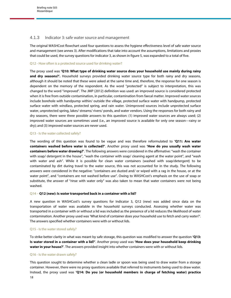#### <span id="page-17-0"></span>4.1.3 Indicator 3: safe water source and management

The original WASHCost flowchart used four questions to assess the hygiene effectiveness level of safe water source and management (see annex 3). After modifications that take into account the assumptions, limitations and proxies that could be used, the survey questions for indicator 3, as shown in figure 5, was expanded to a total of five.

#### Q12 - How often is a protected source used for drinking water?

The proxy used was **'Q10: What type of drinking water source does your household use mainly during rainy and dry seasons?'.** Household surveys provided drinking water source type for both rainy and dry seasons, although it should be noted that these were asked at the same time and, therefore, the response for one season is dependent on the memory of the respondent. As the word "protected" is subject to interpretation, this was changed to the word "improved". The JMP (2012) definition was used: an improved source is considered protected when it is free from outside contamination, in particular, contamination from faecal matter. Improved water sources include borehole with handpump within/ outside the village, protected surface water with handpump, protected surface water with windlass, protected spring, and rain water. Unimproved sources include unprotected surface water, unprotected spring, lakes/ streams/ rivers/ ponds, and water vendors. Using the responses for both rainy and dry seasons, there were three possible answers to this question: (1) improved water sources are always used; (2) improved water sources are sometimes used (i.e., an improved source is available for only one season—rainy or dry); and (3) improved water sources are never used.

#### Q13 - Is the water collected safely?

The wording of this question was found to be vague and was therefore reformulated to **'Q11: Are water containers washed before water is collected?'**. Another proxy used was **'How do you usually wash water containers before water drawing?'**. The following answers were considered in the affirmative: "wash the container with soap/ detergent in the house", "wash the container with soap/ cleaning agent at the water point", and "wash with water and ash". While it is possible for clean water containers (washed with soap/detergent) to be contaminated by dirt during travel to the water source, this was not accounted for in the study. The following answers were considered in the negative: "containers are dusted and/ or wiped with a rag in the house, or at the water point", and "containers are not washed before use". Owing to WASHCost's emphasis on the use of soap or substitute, the answer of "rinse with water only" was also taken to mean that water containers were not being washed.

#### Q14 – **Q12 (new): Is water transported back in a container with a lid?**

A new question in WASHCost's survey questions for Indicator 3, Q12 (new) was added since data on the transportation of water was available in the household surveys conducted. Assessing whether water was transported in a container with or without a lid was included as the presence of a lid reduces the likelihood of water contamination. Another proxy used was 'What kind of container does your household use to fetch and carry water?'. The answers specified whether containers were with or without lids.

#### Q15 - Is the water stored safely?

To strike better clarity in what was meant by safe storage, this question was modified to answer the question **'Q13: Is water stored in a container with a lid?'**. Another proxy used was **'How does your household keep drinking water in your house?'**. The answers provided insight into whether containers were with or without lids.

#### Q16 - Is the water drawn safely?

18 This question sought to determine whether a clean ladle or spoon was being used to draw water from a storage container. However, there were no proxy questions available that referred to instruments being used to draw water. Instead, the proxy used was **'Q14: Do you (or household members in charge of fetching water) practice**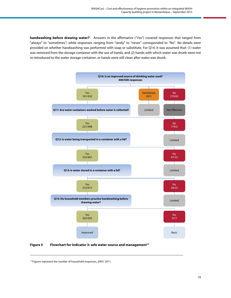<span id="page-18-0"></span>**handwashing before drawing water?'**. Answers in the affirmative ("Yes") covered responses that ranged from "always" to "sometimes"; while responses ranging from "rarely" to "never" corresponded to "No". No details were provided on whether handwashing was performed with soap or substitute. For Q14, it was assumed that: (1) water was removed from the storage container with the use of hands, and (2) hands with which water was drunk were not re-introduced to the water storage container, or hands were still clean after water was drunk.



Figure 5 Flowchart for Indicator 3: safe water source and management<sup>13</sup>

<sup>&</sup>lt;sup>13</sup> Figures represent the number of household responses, 2007/2011.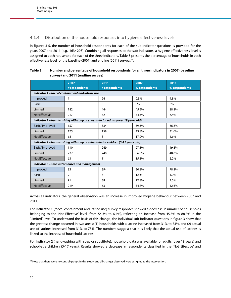#### <span id="page-19-0"></span>4.1.4 Distribution of the household responses into hygiene effectiveness levels

In figures 3-5, the number of household respondents for each of the sub-indicator questions is provided for the years 2007 and 2011 (e.g., 163/ 293). Combining all responses to the sub-indicators, a hygiene effectiveness level is assigned to each household for each of the three indicators. Table 3 presents the percentage of households in each effectiveness level for the baseline (2007) and endline (2011) surveys<sup>14</sup>.

| Table 3 | Number and percentage of household respondents for all three indicators in 2007 (baseline |
|---------|-------------------------------------------------------------------------------------------|
|         | survey) and 2011 (endline survey)                                                         |

|                      | 2007                                             | 2011                                                                             | 2007          | 2011          |  |  |  |
|----------------------|--------------------------------------------------|----------------------------------------------------------------------------------|---------------|---------------|--|--|--|
|                      | # respondents                                    | # respondents                                                                    | % respondents | % respondents |  |  |  |
|                      | Indicator 1 - faecal containment and latrine use |                                                                                  |               |               |  |  |  |
| Improved             | 1                                                | 24                                                                               | 0.3%          | 4.8%          |  |  |  |
| <b>Basic</b>         | $\Omega$                                         | $\Omega$                                                                         | $0\%$         | 0%            |  |  |  |
| Limited              | 182                                              | 444                                                                              | 45.5%         | 88.8%         |  |  |  |
| <b>Not Effective</b> | 217                                              | 32                                                                               | 54.3%         | 6.4%          |  |  |  |
|                      |                                                  | Indicator 2 - handwashing with soap or substitute for adults (over 18 years old) |               |               |  |  |  |
| Basic/ Improved      | 157                                              | 334                                                                              | 39.3%         | 66.8%         |  |  |  |
| Limited              | 175                                              | 158                                                                              | 43.8%         | 31.6%         |  |  |  |
| <b>Not Effective</b> | 68                                               | 8                                                                                | 17.0%         | 1.6%          |  |  |  |
|                      |                                                  | Indicator 2 - handwashing with soap or substitute for children (5-17 years old)  |               |               |  |  |  |
| Basic/ Improved      | 110                                              | 249                                                                              | 27.5%         | 49.8%         |  |  |  |
| Limited              | 227                                              | 240                                                                              | 56.8%         | 48.0%         |  |  |  |
| <b>Not Effective</b> | 63                                               | 11                                                                               | 15.8%         | 2.2%          |  |  |  |
|                      | Indicator 3 - safe water source and management   |                                                                                  |               |               |  |  |  |
| Improved             | 83                                               | 394                                                                              | 20.8%         | 78.8%         |  |  |  |
| <b>Basic</b>         | $\overline{7}$                                   | 5                                                                                | 1.8%          | 1.0%          |  |  |  |
| Limited              | 91                                               | 38                                                                               | 22.8%         | 7.6%          |  |  |  |
| <b>Not Effective</b> | 219                                              | 63                                                                               | 54.8%         | 12.6%         |  |  |  |

Across all indicators, the general observation was an increase in improved hygiene behaviour between 2007 and 2011.

For **Indicator 1** (faecal containment and latrine use) survey responses showed a decrease in number of households belonging to the 'Not Effective' level (from 54.3% to 6.4%), reflecting an increase from 45.5% to 88.8% in the 'Limited' level. To understand the basis of this change, the individual sub-indicator questions in figure 3 show that the greatest change occurred in two areas: (1) households with a latrine increased from 31% to 73%, and (2) actual use of latrines increased from 31% to 73%. The numbers suggest that it is likely that the actual use of latrines is linked to the increase of household latrines.

For **Indicator 2** (handwashing with soap or substitute), household data was available for adults (over 18 years) and school-age children (5-17 years). Results showed a decrease in respondents classified in the 'Not Effective' and

<sup>&</sup>lt;sup>14</sup> Note that there were no control groups in this study, and all changes observed were assigned to the intervention.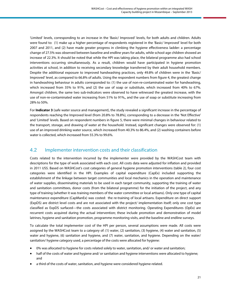<span id="page-20-0"></span>'Limited' levels, corresponding to an increase in the 'Basic/ Improved' levels, for both adults and children. Adults were found to: (1) make up a higher percentage of respondents registered in the 'Basic/ Improved' level for both 2007 and 2011, and (2) have made greater progress in climbing the hygiene effectiveness ladder: a percentage change of 27.5% was observed between baseline and endline years for adults, while school-age children showed an increase of 22.3%. It should be noted that while the HPI was taking place, the bilateral programme also had school interventions occurring simultaneously. As a result, children would have participated in hygiene promotion activities at school, in addition to receiving secondary knowledge transferred by their adult household members. Despite the additional exposure to improved handwashing practices, only 49.8% of children were in the 'Basic/ Improved' level, as compared to 66.8% of adults. Using the respondent numbers from figure 4, the greatest change in handwashing behaviour in adults corresponded to: (1) the use of non-re-contaminated water for handwashing, which increased from 35% to 91%, and (2) the use of soap or substitute, which increased from 40% to 67%. Amongst children, the same two sub-indicators were observed to have witnessed the greatest increase, with the use of non-re-contaminated water increasing from 51% to 91%,, and the use of soap or substitute increasing from 28% to 50%.

For **Indicator 3** (safe water source and management), the study revealed a significant increase in the percentage of respondents reaching the Improved level (from 20.8% to 78.8%), corresponding to a decrease in the 'Not Effective' and 'Limited' levels. Based on respondent numbers in figure 5, there were minimal changes in behaviour related to the transport, storage, and drawing of water at the household. Instead, significant changes were observed for: (1) use of an improved drinking water source, which increased from 40.3% to 86.4%, and (2) washing containers before water is collected, which increased from 55.3% to 99.6%.

### 4.2 Implementer intervention costs and their classification

Costs related to the intervention incurred by the implementer were provided by the WASHCost team with descriptions for the type of work associated with each cost. All costs data were adjusted for inflation and provided in 2011 US\$. Based on WASHCost's cost categories of general hygiene promotion interventions (table 2), four cost categories were identified in the HPI. Examples of capital expenditure (CapEx) included supporting the establishment of the linkage between target communities and local mechanics in the operation and maintenance of water supplies, disseminating materials to be used in each target community, supporting the training of water and sanitation committees, donor costs (from the bilateral programme) for the initiation of the project, and any type of training (whether it was training members of the water committee or local artisans). Only one type of capital maintenance expenditure (CapManEx) was costed: the re-training of local artisans. Expenditure on direct support (ExpDS) are district level costs and are not associated with the project/ implementation itself; only one cost type classified as ExpDS surfaced—the costs associated with district monitoring. Operating Expenditures (OpEx) are recurrent costs acquired during the actual intervention; these include promotion and demonstration of model latrines, hygiene and sanitation promotion, programme monitoring visits, and the baseline and endline surveys.

To calculate the total implementer cost of the HPI per person, several assumptions were made. All costs were assigned by the WASHCost team to a category of: (1) water, (2) sanitation, (3) hygiene, (4) water and sanitation, (5) water and hygiene, (6) sanitation and hygiene, and (7) water, sanitation, and hygiene. Depending on the water/ sanitation/ hygiene category used, a percentage of the costs were allocated for hygiene:

- 0% was allocated to hygiene for costs related solely to water, sanitation, and/ or water and sanitation;
- half of the costs of water and hygiene and/ or sanitation and hygiene interventions were allocated to hygiene; and
- a third of the costs of water, sanitation, and hygiene were considered hygiene-related.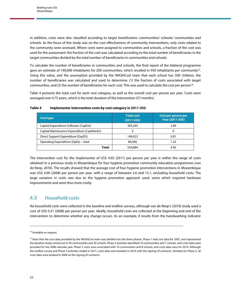<span id="page-21-0"></span>In addition, costs were also classified according to target beneficiaries: communities/ schools/ communities and schools. As the focus of this study was on the cost effectiveness of community interventions, only costs related to the community were assessed. Where costs were assigned to communities and schools, a fraction of the cost was used for the assessment: the fraction of the cost was calculated according to the total number of beneficiaries in the target communities divided by the total number of beneficiaries in communities and schools.

To calculate the number of beneficiaries in communities and schools, the final report of the bilateral programme gave an estimate of 190,000 inhabitants for 200 communities, which resulted in 950 inhabitants per community<sup>15</sup>. Using this value, and the assumption provided by the WASHCost team that each school has 500 children, the number of beneficiaries was calculated and used to determine: (1) the fraction of costs associated with target communities, and (2) the number of beneficiaries for each cost. This was used to calculate the cost per person<sup>16</sup>.

Table 4 presents the total cost for each cost category, as well as the overall cost per person per year. Costs were averaged over 4.75 years, which is the total duration of the intervention (57 months).

| <b>Cost type</b>                           | <b>Total cost</b><br>$(2011$ US\$) | Cost per person per<br><b>Year (2011 US\$)</b> |
|--------------------------------------------|------------------------------------|------------------------------------------------|
| Capital Expenditure Software (CapExS)      | 305,265                            | 2.89                                           |
| Capital Maintenance Expenditure (CapManEx) |                                    | 0                                              |
| Direct Support Expenditure (ExpDS)         | 148,923                            | 0.81                                           |
| Operating Expenditure (OpEx) – total       | 80,696                             | 1.22                                           |
| <b>Total</b>                               | 534,884                            | 4.92                                           |

**Table 4 Implementer intervention costs by cost category in 2011 US\$**

The intervention cost for the implementer of US\$ 4.92 (2011) per person per year is within the range of costs obtained in a previous study in Mozambique for four hygiene promotion community education programmes (van de Reep, 2010). The results showed that the average cost of four hygiene promotion interventions in Mozambique was US\$ 4.00 (2008) per person per year, with a range of between 2.6 and 15.1, excluding household costs. The large variation in costs was due to the hygiene promotion approach used, some which required hardware improvements and were thus more costly.

### 4.3 Household costs

No household costs were collected in the baseline and endline surveys, although van de Reep's (2010) study used a cost of US\$ 0.31 (2008) per person per year. Ideally, household costs are collected at the beginning and end of the intervention to determine whether any change occurs. As an example, if results from the handwashing indicator

<sup>&</sup>lt;sup>15</sup> Available on request.

<sup>&</sup>lt;sup>16</sup> Note that the cost data provided by the WASHCost team was divided into the three phases. Phase 1 had cost data for 2007, and represented the baseline study carried out in 30 communities and 20 schools. Phase 2 activities benefited 10 communities and 7 schools, and costs data were provided for the 2008 calendar year. Phase 3 costs were associated with 10 communities and 8 schools, and costs data were for 2010. Although the endline survey and Phase 3 activities ended in 2011, costs data were booked in 2010 with the signing of contracts. Similarly for Phase 2, all costs data were booked in 2008 on the signing of contracts.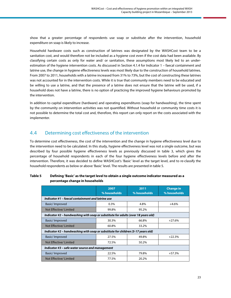<span id="page-22-0"></span>show that a greater percentage of respondents use soap or substitute after the intervention, household expenditure on soap is likely to increase.

Household hardware costs such as construction of latrines was designated by the WASHCost team to be a sanitation cost, and would therefore not be included as a hygiene cost even if the cost data had been available. By classifying certain costs as only for water and/ or sanitation, these assumptions most likely led to an underestimation of the hygiene intervention costs. As discussed in Section 4.1.4 for Indicator 1 – faecal containment and latrine use, the change in hygiene effectiveness levels was most likely due to the construction of household latrines. From 2007 to 2011, households with a latrine increased from 31% to 73%, but the cost of constructing these latrines was not accounted for in the intervention costs. While it is true that community members need to be educated and be willing to use a latrine, and that the presence of a latrine does not ensure that the latrine will be used, if a household does not have a latrine, there is no option of practicing the improved hygiene behaviours promoted by the intervention.

In addition to capital expenditure (hardware) and operating expenditures (soap for handwashing), the time spent by the community on intervention activities was not quantified. Without household or community time costs it is not possible to determine the total cost and, therefore, this report can only report on the costs associated with the implementer.

### 4.4 Determining cost effectiveness of the intervention

To determine cost effectiveness, the cost of the intervention and the change in hygiene effectiveness level due to the intervention need to be calculated. In this study, hygiene effectiveness level was not a single outcome, but was described by four possible hygiene effectiveness levels as previously discussed in table 3, which gives the percentage of household respondents in each of the four hygiene effectiveness levels before and after the intervention. Therefore, it was decided to define WASHCost's 'Basic' level as the target level, and to re-classify the household respondents as below or above 'Basic' level. The results are presented in table 5.

|                                                                                   | 2007<br>% households                              | 2011<br>% households | <b>Change in</b><br>% households |  |  |  |
|-----------------------------------------------------------------------------------|---------------------------------------------------|----------------------|----------------------------------|--|--|--|
|                                                                                   | Indicator #1 – faecal containment and latrine use |                      |                                  |  |  |  |
| Basic/Improved                                                                    | $0.3\%$                                           | 4.8%                 | $+4.6%$                          |  |  |  |
| Not Effective/Limited                                                             | 99.8%                                             | 95.2%                |                                  |  |  |  |
| Indicator #2 - handwashing with soap or substitute for adults (over 18 years old) |                                                   |                      |                                  |  |  |  |
| Basic/Improved                                                                    | 30.3%                                             | 66.8%                | $+27.6%$                         |  |  |  |
| Not Effective/Limited                                                             | 60.8%                                             | 33.2%                |                                  |  |  |  |
| Indicator #2 - handwashing with soap or substitute for children (5-17 years old)  |                                                   |                      |                                  |  |  |  |
| Basic/Improved                                                                    | 27.5%                                             | 49.8%                | $+22.3%$                         |  |  |  |
| Not Effective/Limited                                                             | 72.5%                                             | 50.2%                |                                  |  |  |  |
| Indicator #3 – safe water source and management                                   |                                                   |                      |                                  |  |  |  |
| Basic/Improved                                                                    | 22.5%                                             | 79.8%                | $+57.3%$                         |  |  |  |
| Not Effective/Limited                                                             | 77.5%                                             | 20.2%                |                                  |  |  |  |

#### **Table 5 Defining 'Basic' as the target level to obtain a single outcome indicator measured as a percentage change in households**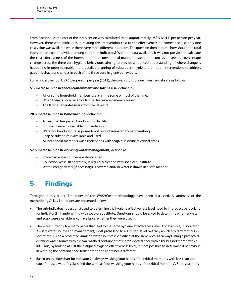<span id="page-23-0"></span>From Section 4.2, the cost of the intervention was calculated to be approximately US\$ 5 (2011) per person per year. However, there were difficulties in relating this intervention cost to the effectiveness outcomes because only one cost value was available while there were three different indicators. The question then became how should the total intervention cost be divided among the three indicators? With the data available, it was not possible to calculate the cost effectiveness of the intervention in a conventional manner. Instead, the conclusion sets out percentage change across the three core hygiene behaviours, aiming to provide a nuanced understanding of where change is happening in order to enable more detailed planning of subsequent hygiene promotion interventions to address gaps in behaviour changes in each of the three core hygiene behaviours.

For an investment of US\$ 5 per person per year (2011), the conclusions drawn from the data are as follows:

#### **5% increase in basic faecal containment and latrine use,** defined as:

- All or some household members use a latrine some or most of the time.
- When there is no access to a latrine, faeces are generally buried.
- The latrine separates users from faecal waste.

#### **28% increase in basic handwashing,** defined as:

- Accessible designated handwashing facility.
- Sufficient water is available for handwashing.
- Water for handwashing is poured/ not re-contaminated by handwashing.
- Soap or substitute is available and used.
- All household members wash their hands with soap/ substitute at critical times.

#### **57% increase in basic drinking water management,** defined as:

- Protected water sources are always used.
- Collection vessel (if necessary) is regularly cleaned with soap or substitute.
- Water storage vessel (if necessary) is covered and/ or water is drawn in a safe manner.

## **5 Findings**

Throughout this paper, limitations of the WASHCost methodology have been discussed. A summary of the methodology's key limitations are presented below:

- The sub-indicators (questions) used to determine the hygiene effectiveness level need to improved, particularly for Indicator 2 – handwashing with soap or substitute. Questions should be asked to determine whether water and soap were available and, if available, whether they were used.
- There are currently too many paths that lead to the same hygiene effectiveness level. For example, in Indicator 3 – safe water source and management, most paths lead to a 'Limited' level, yet they are clearly different. "Only sometimes using a protected drinking water source" is classified at the same level as "always using a protected drinking water source with a clean, washed container that is transported back with a lid, but not stored with a lid'. Thus, by looking at just the assigned hygiene effectiveness level, it is not possible to determine if behaviour in washing the container and transporting the container is different.
- Based on the flowchart for Indicator 2, "always washing your hands after critical moments with less than one cup of re-used water" is classified the same as "not washing your hands after critical moments". Both situations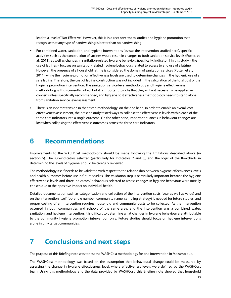<span id="page-24-0"></span>lead to a level of 'Not Effective'. However, this is in direct contrast to studies and hygiene promotion that recognise that any type of handwashing is better than no handwashing.

- For combined water, sanitation, and hygiene interventions (as was the intervention studied here), specific activities such as the construction of latrines would result in changes to both sanitation service levels (Potter, et al., 2011), as well as changes in sanitation-related hygiene behavior. Specifically, Indicator 1 in this study – the use of latrines – focuses on sanitation-related hygiene behaviours related to access to and use of a latrine. However, the presence of a household latrine is considered the domain of sanitation services (Potter, et al., 2011), while the hygiene promotion effectiveness levels are used to determine changes in the hygienic use of a safe latrine. Therefore, the cost of latrine construction was not included in the calculation of the total cost of the hygiene promotion intervention. The sanitation service level methodology and hygiene effectiveness methodology is thus currently linked, but it is important to note that they will not necessarily be applied in concert unless specifically recommended; and hygiene cost effectiveness methodology needs to stand alone from sanitation service level assessment.
- There is an inherent tension in the tested methodology: on the one hand, in order to enable an overall cost effectiveness assessment, the present study tested ways to collapse the effectiveness levels within each of the three core indicators into a single outcome. On the other hand, important nuances in behaviour changes are lost when collapsing the effectiveness outcomes across the three core indicators.

## **6 Recommendations**

Improvements to the WASHCost methodology should be made following the limitations described above (in section 5). The sub-indicators selected (particularly for Indicators 2 and 3), and the logic of the flowcharts in determining the levels of hygiene, should be carefully reviewed.

The methodology itself needs to be validated with respect to the relationship between hygiene effectiveness levels and health outcomes before use in future studies. This validation step is particularly important because the hygiene effectiveness levels and three indicators/ behaviours selected to assess changes in hygiene behaviour were initially chosen due to their positive impact on individual health.

Detailed documentation such as categorisation and collection of the intervention costs (year as well as value) and on the intervention itself (borehole number, community name, sampling strategy) is needed for future studies, and proper costing of an intervention requires household and community costs to be collected. As the intervention occurred in both communities and schools of the same area, and the intervention was a combined water, sanitation, and hygiene intervention, it is difficult to determine what changes in hygiene behaviour are attributable to the community hygiene promotion intervention only. Future studies should focus on hygiene interventions alone in only target communities.

## **7 Conclusions and next steps**

The purpose of this Briefing note was to test the WASHCost methodology for one intervention in Mozambique.

The WASHCost methodology was based on the assumption that behavioural change could be measured by assessing the change in hygiene effectiveness level, where effectiveness levels were defined by the WASHCost team. Using this methodology and the data provided by WASHCost, this Briefing note showed that household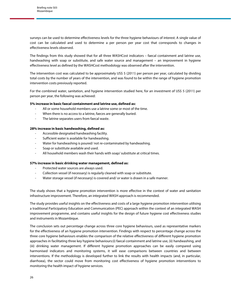surveys can be used to determine effectiveness levels for the three hygiene behaviours of interest. A single value of cost can be calculated and used to determine a per person per year cost that corresponds to changes in effectiveness levels observed.

The findings from this study showed that for all three WASHCost indicators – faecal containment and latrine use, handwashing with soap or substitute, and safe water source and management – an improvement in hygiene effectiveness level as defined by the WASHCost methodology was observed after the intervention.

The intervention cost was calculated to be approximately US\$ 5 (2011) per person per year, calculated by dividing total costs by the number of years of the intervention, and was found to be within the range of hygiene promotion intervention costs previously reported.

For the combined water, sanitation, and hygiene intervention studied here, for an investment of US\$ 5 (2011) per person per year, the following was achieved:

#### **5% increase in basic faecal containment and latrine use, defined as:**

- All or some household members use a latrine some or most of the time.
- When there is no access to a latrine, faeces are generally buried.
- The latrine separates users from faecal waste.

#### **28% increase in basic handwashing, defined as:**

- Accessible designated handwashing facility.
- Sufficient water is available for handwashing.
- Water for handwashing is poured/not re-contaminated by handwashing.
- Soap or substitute available and used.
- All household members wash their hands with soap/ substitute at critical times.

#### **57% increase in basic drinking water management, defined as:**

- Protected water sources are always used.
- Collection vessel (if necessary) is regularly cleaned with soap or substitute.
- Water storage vessel (if necessary) is covered and/ or water is drawn in a safe manner.

The study shows that a hygiene promotion intervention is more effective in the context of water and sanitation infrastructure improvement. Therefore, an integrated WASH approach is recommended.

The study provides useful insights on the effectiveness and costs of a large hygiene promotion intervention utilising a traditional Participatory Education and Communication (PEC) approach within the context of an integrated WASH improvement programme, and contains useful insights for the design of future hygiene cost effectiveness studies and instruments in Mozambique.

The conclusion sets out percentage change across three core hygiene behaviours, used as representative markers for the effectiveness of an hygiene promotion intervention. Findings with respect to percentage change across the three core hygiene behaviours enables the comparison of the relative effectiveness of different hygiene promotion approaches in facilitating three key hygiene behaviours:(i) faecal containment and latrine use, (ii) handwashing, and (iii) drinking water management. If different hygiene promotion approaches can be easily compared using harmonised indicators and monitoring systems, it will ease comparisons between countries and between interventions. If the methodology is developed further to link the results with health impacts (and, in particular, diarrhoea), the sector could move from monitoring cost effectiveness of hygiene promotion interventions to monitoring the health impact of hygiene services.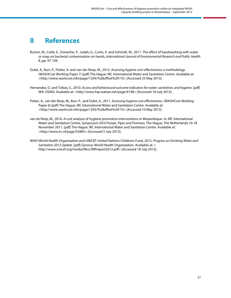## <span id="page-26-0"></span>**8 References**

- Burton, M., Cobb, E., Donachie, P., Judah, G., Curtis, V. and Schmidt, W., 2011. The effect of handwashing with water or soap on bacterial contamination on hands, International Journal of Environmental Research and Public Health 8, pp. 97-104.
- Dubé, A., Burr, P., Potter, A. and van der Reep, M., 2012. Assessing hygiene cost-effectiveness: a methodology. (WASHCost Working Paper 7) [pdf] The Hague: IRC International Water and Sanitation Centre. Available at: <http://www.washcost.info/page/1293/%28offset%29/10> [Accessed 25 May 2013].
- Hernandez, O. and Tobias, S., 2010. Access and behavioural outcome indicators for water, sanitation, and hygiene. [pdf] WA: USAID. Available at: <http://www.hip.watsan.net/page/4148> [Accessed 18 July 2013].
- Potter, A., van der Reep, M., Burr, P., and Dubé, A., 2011. Assessing hygiene cost effectiveness. (WASHCost Working Paper 6) [pdf] The Hague: IRC International Water and Sanitation Centre. Available at: <http://www.washcost.info/page/1293/%28offset%29/10> [Accessed 10 May 2013].
- van de Reep, M., 2010. A cost analysis of hygiene promotion interventions in Mozambique. In: IRC International Water and Sanitation Centre, Symposium 2010 Pumps, Pipes and Promises. The Hague, The Netherlands 16-18 November 2011. [pdf] The Hague: IRC International Water and Sanitation Centre. Available at: <http://www.irc.nl/page/55895> [Accessed 5 July 2013].
- WHO-World Health Organization and UNICEF-United Nations Childrens Fund, 2012. Progress on Drinking Water and Sanitation 2012 Update. [pdf] Geneva: World Health Organization. Available at: < http://www.unicef.org/media/files/JMPreport2012.pdf> [Accessed 18 July 2013].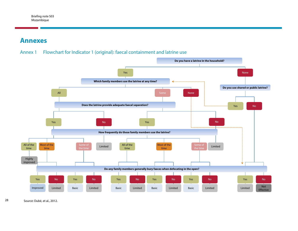## <span id="page-27-0"></span>**Annexes**



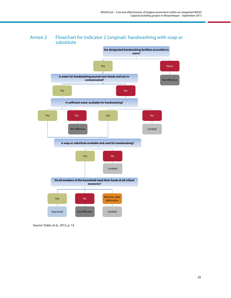

### Annex 2 Flowchart for indicator 2 (original): handwashing with soap or substitute

Source: Dubé, et al., 2012, p. 14.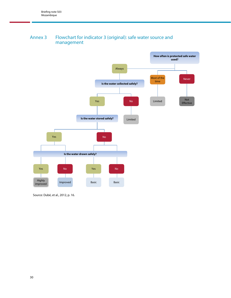### <span id="page-29-0"></span>Annex 3 Flowchart for indicator 3 (original): safe water source and management



Source: Dubé, et al., 2012, p. 16.